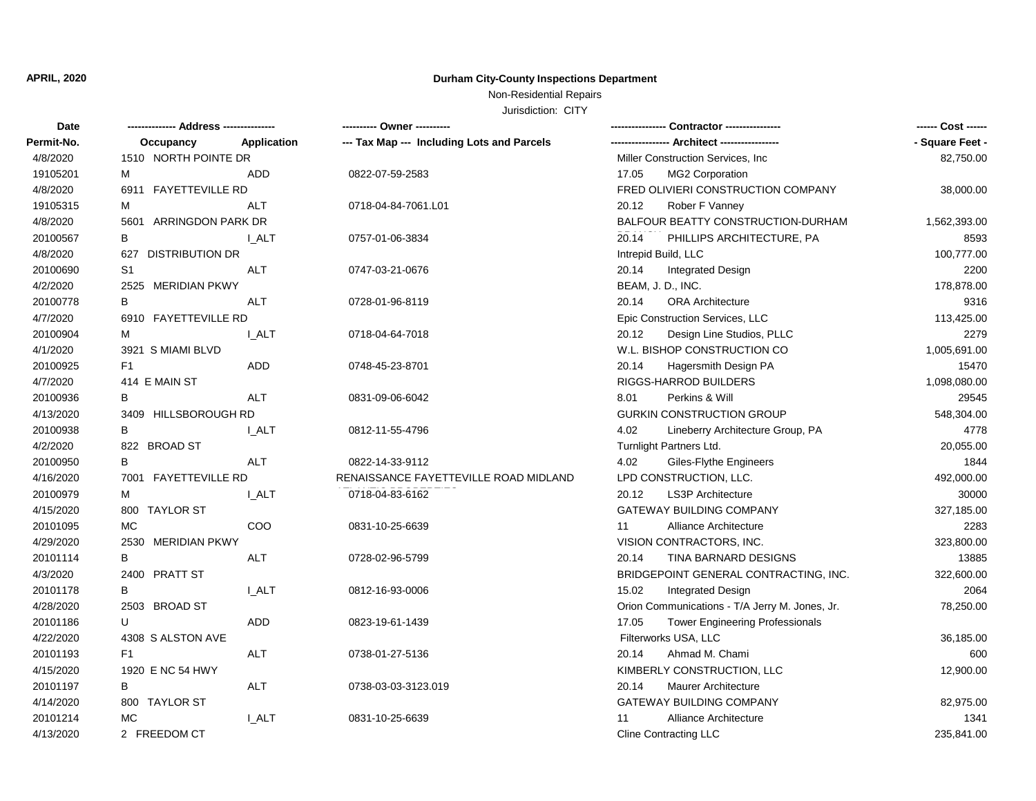## **APRIL, 2020 Durham City-County Inspections Department**

## Non-Residential Repairs

Jurisdiction: CITY

| Date       |                        |             | ---------- Owner ----------                |                                                 | ------ Cost ------ |
|------------|------------------------|-------------|--------------------------------------------|-------------------------------------------------|--------------------|
| Permit-No. | Occupancy              | Application | --- Tax Map --- Including Lots and Parcels |                                                 | - Square Feet -    |
| 4/8/2020   | 1510 NORTH POINTE DR   |             |                                            | Miller Construction Services, Inc.              | 82,750.00          |
| 19105201   | м                      | <b>ADD</b>  | 0822-07-59-2583                            | MG2 Corporation<br>17.05                        |                    |
| 4/8/2020   | 6911 FAYETTEVILLE RD   |             |                                            | FRED OLIVIERI CONSTRUCTION COMPANY              | 38,000.00          |
| 19105315   | м                      | <b>ALT</b>  | 0718-04-84-7061.L01                        | 20.12<br>Rober F Vanney                         |                    |
| 4/8/2020   | 5601 ARRINGDON PARK DR |             |                                            | BALFOUR BEATTY CONSTRUCTION-DURHAM              | 1,562,393.00       |
| 20100567   | В                      | I ALT       | 0757-01-06-3834                            | 20.14<br>PHILLIPS ARCHITECTURE, PA              | 8593               |
| 4/8/2020   | 627 DISTRIBUTION DR    |             |                                            | Intrepid Build, LLC                             | 100,777.00         |
| 20100690   | S <sub>1</sub>         | ALT         | 0747-03-21-0676                            | 20.14<br><b>Integrated Design</b>               | 2200               |
| 4/2/2020   | 2525 MERIDIAN PKWY     |             |                                            | BEAM, J. D., INC.                               | 178,878.00         |
| 20100778   | В                      | <b>ALT</b>  | 0728-01-96-8119                            | 20.14<br><b>ORA Architecture</b>                | 9316               |
| 4/7/2020   | 6910 FAYETTEVILLE RD   |             |                                            | Epic Construction Services, LLC                 | 113,425.00         |
| 20100904   | м                      | I ALT       | 0718-04-64-7018                            | Design Line Studios, PLLC<br>20.12              | 2279               |
| 4/1/2020   | 3921 S MIAMI BLVD      |             |                                            | W.L. BISHOP CONSTRUCTION CO                     | 1,005,691.00       |
| 20100925   | F <sub>1</sub>         | ADD         | 0748-45-23-8701                            | 20.14<br>Hagersmith Design PA                   | 15470              |
| 4/7/2020   | 414 E MAIN ST          |             |                                            | RIGGS-HARROD BUILDERS                           | 1,098,080.00       |
| 20100936   | В                      | ALT         | 0831-09-06-6042                            | 8.01<br>Perkins & Will                          | 29545              |
| 4/13/2020  | 3409 HILLSBOROUGH RD   |             |                                            | <b>GURKIN CONSTRUCTION GROUP</b>                | 548,304.00         |
| 20100938   | B                      | I ALT       | 0812-11-55-4796                            | 4.02<br>Lineberry Architecture Group, PA        | 4778               |
| 4/2/2020   | 822 BROAD ST           |             |                                            | Turnlight Partners Ltd.                         | 20,055.00          |
| 20100950   | B                      | ALT         | 0822-14-33-9112                            | 4.02<br>Giles-Flythe Engineers                  | 1844               |
| 4/16/2020  | 7001 FAYETTEVILLE RD   |             | RENAISSANCE FAYETTEVILLE ROAD MIDLAND      | LPD CONSTRUCTION, LLC.                          | 492,000.00         |
| 20100979   | м                      | I ALT       | 0718-04-83-6162                            | 20.12<br><b>LS3P Architecture</b>               | 30000              |
| 4/15/2020  | 800 TAYLOR ST          |             |                                            | <b>GATEWAY BUILDING COMPANY</b>                 | 327,185.00         |
| 20101095   | MC                     | COO         | 0831-10-25-6639                            | <b>Alliance Architecture</b><br>11              | 2283               |
| 4/29/2020  | 2530 MERIDIAN PKWY     |             |                                            | VISION CONTRACTORS, INC.                        | 323,800.00         |
| 20101114   | В                      | <b>ALT</b>  | 0728-02-96-5799                            | 20.14<br>TINA BARNARD DESIGNS                   | 13885              |
| 4/3/2020   | 2400 PRATT ST          |             |                                            | BRIDGEPOINT GENERAL CONTRACTING, INC.           | 322,600.00         |
| 20101178   | B                      | I ALT       | 0812-16-93-0006                            | 15.02<br><b>Integrated Design</b>               | 2064               |
| 4/28/2020  | 2503 BROAD ST          |             |                                            | Orion Communications - T/A Jerry M. Jones, Jr.  | 78,250.00          |
| 20101186   | U                      | ADD         | 0823-19-61-1439                            | 17.05<br><b>Tower Engineering Professionals</b> |                    |
| 4/22/2020  | 4308 S ALSTON AVE      |             |                                            | Filterworks USA, LLC                            | 36,185.00          |
| 20101193   | F <sub>1</sub>         | <b>ALT</b>  | 0738-01-27-5136                            | Ahmad M. Chami<br>20.14                         | 600                |
| 4/15/2020  | 1920 E NC 54 HWY       |             |                                            | KIMBERLY CONSTRUCTION, LLC                      | 12,900.00          |
| 20101197   | B                      | <b>ALT</b>  | 0738-03-03-3123.019                        | <b>Maurer Architecture</b><br>20.14             |                    |
| 4/14/2020  | 800 TAYLOR ST          |             |                                            | <b>GATEWAY BUILDING COMPANY</b>                 | 82,975.00          |
| 20101214   | MC                     | <b>LALT</b> | 0831-10-25-6639                            | Alliance Architecture<br>11                     | 1341               |
| 4/13/2020  | 2 FREEDOM CT           |             |                                            | Cline Contracting LLC                           | 235,841.00         |